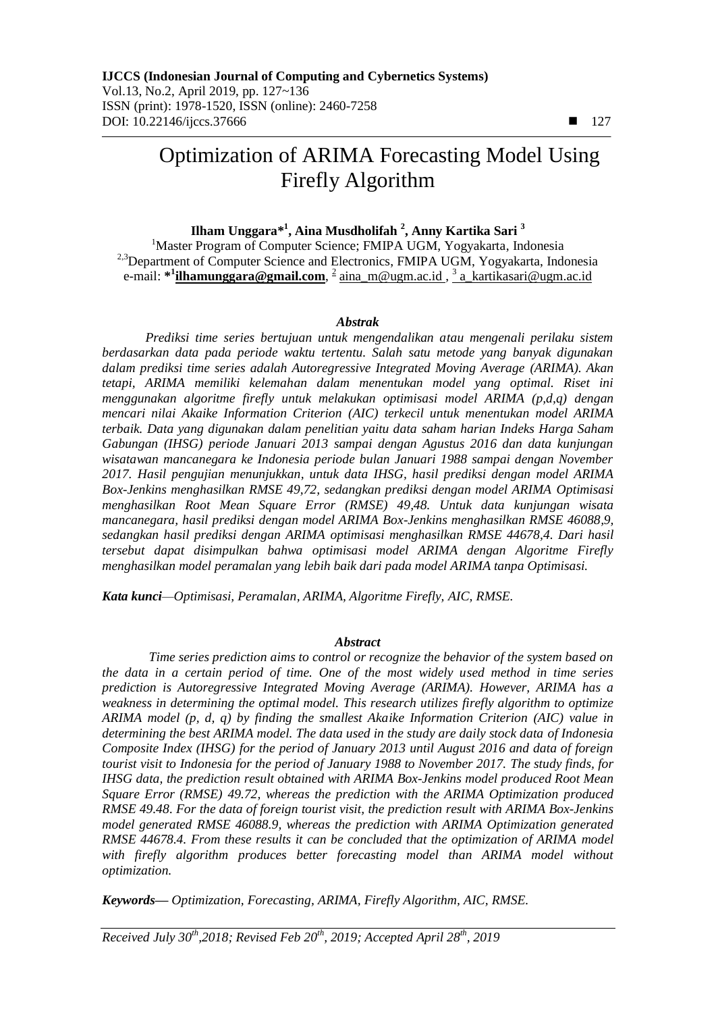# Optimization of ARIMA Forecasting Model Using Firefly Algorithm

# **Ilham Unggara\* 1 , Aina Musdholifah <sup>2</sup> , Anny Kartika Sari <sup>3</sup>**

<sup>1</sup>Master Program of Computer Science; FMIPA UGM, Yogyakarta, Indonesia <sup>2,3</sup>Department of Computer Science and Electronics, FMIPA UGM, Yogyakarta, Indonesia e-mail: \*<sup>1</sup>ilhamunggara@gmail.com, <sup>2</sup> aina\_m@ugm.ac.id, <sup>3</sup> a\_kartikasari@ugm.ac.id

#### *Abstrak*

*Prediksi time series bertujuan untuk mengendalikan atau mengenali perilaku sistem berdasarkan data pada periode waktu tertentu. Salah satu metode yang banyak digunakan dalam prediksi time series adalah Autoregressive Integrated Moving Average (ARIMA). Akan tetapi, ARIMA memiliki kelemahan dalam menentukan model yang optimal. Riset ini menggunakan algoritme firefly untuk melakukan optimisasi model ARIMA (p,d,q) dengan mencari nilai Akaike Information Criterion (AIC) terkecil untuk menentukan model ARIMA terbaik. Data yang digunakan dalam penelitian yaitu data saham harian Indeks Harga Saham Gabungan (IHSG) periode Januari 2013 sampai dengan Agustus 2016 dan data kunjungan wisatawan mancanegara ke Indonesia periode bulan Januari 1988 sampai dengan November 2017. Hasil pengujian menunjukkan, untuk data IHSG, hasil prediksi dengan model ARIMA Box-Jenkins menghasilkan RMSE 49,72, sedangkan prediksi dengan model ARIMA Optimisasi menghasilkan Root Mean Square Error (RMSE) 49,48. Untuk data kunjungan wisata mancanegara, hasil prediksi dengan model ARIMA Box-Jenkins menghasilkan RMSE 46088,9, sedangkan hasil prediksi dengan ARIMA optimisasi menghasilkan RMSE 44678,4. Dari hasil tersebut dapat disimpulkan bahwa optimisasi model ARIMA dengan Algoritme Firefly menghasilkan model peramalan yang lebih baik dari pada model ARIMA tanpa Optimisasi.*

*Kata kunci—Optimisasi, Peramalan, ARIMA, Algoritme Firefly, AIC, RMSE.*

#### *Abstract*

*Time series prediction aims to control or recognize the behavior of the system based on the data in a certain period of time. One of the most widely used method in time series prediction is Autoregressive Integrated Moving Average (ARIMA). However, ARIMA has a weakness in determining the optimal model. This research utilizes firefly algorithm to optimize ARIMA model (p, d, q) by finding the smallest Akaike Information Criterion (AIC) value in determining the best ARIMA model. The data used in the study are daily stock data of Indonesia Composite Index (IHSG) for the period of January 2013 until August 2016 and data of foreign tourist visit to Indonesia for the period of January 1988 to November 2017. The study finds, for IHSG data, the prediction result obtained with ARIMA Box-Jenkins model produced Root Mean Square Error (RMSE) 49.72, whereas the prediction with the ARIMA Optimization produced RMSE 49.48. For the data of foreign tourist visit, the prediction result with ARIMA Box-Jenkins model generated RMSE 46088.9, whereas the prediction with ARIMA Optimization generated RMSE 44678.4. From these results it can be concluded that the optimization of ARIMA model*  with firefly algorithm produces better forecasting model than ARIMA model without *optimization.*

*Keywords— Optimization, Forecasting, ARIMA, Firefly Algorithm, AIC, RMSE.*

*Received July 30th,2018; Revised Feb 20th, 2019; Accepted April 28 th, 2019*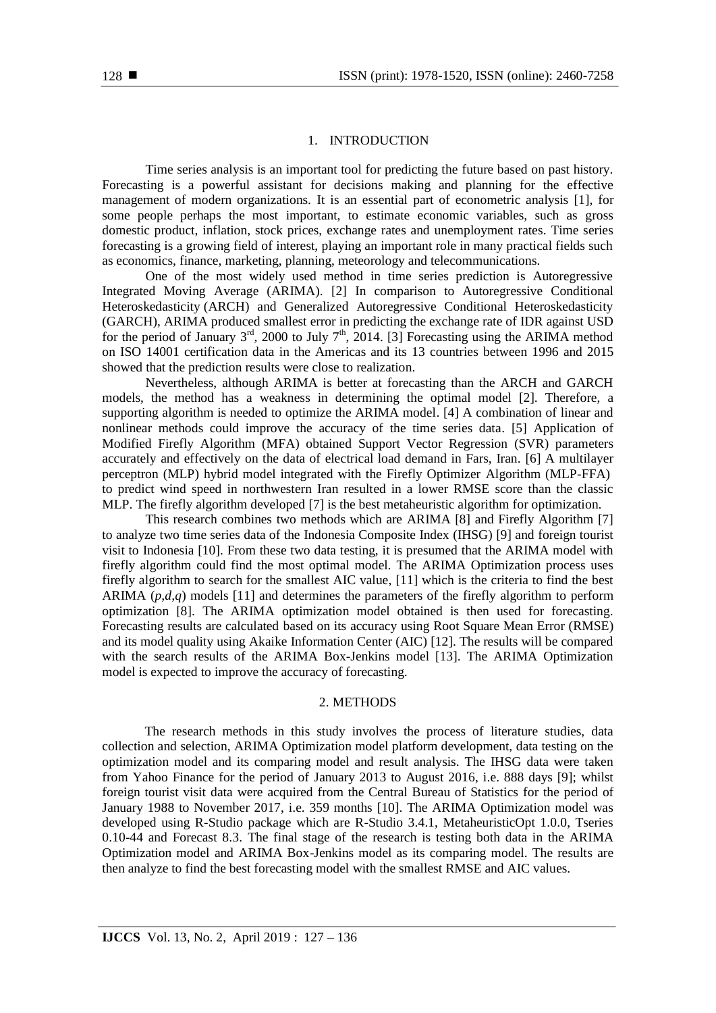## 1. INTRODUCTION

Time series analysis is an important tool for predicting the future based on past history. Forecasting is a powerful assistant for decisions making and planning for the effective management of modern organizations. It is an essential part of econometric analysis [1], for some people perhaps the most important, to estimate economic variables, such as gross domestic product, inflation, stock prices, exchange rates and unemployment rates. Time series forecasting is a growing field of interest, playing an important role in many practical fields such as economics, finance, marketing, planning, meteorology and telecommunications.

One of the most widely used method in time series prediction is Autoregressive Integrated Moving Average (ARIMA). [2] In comparison to Autoregressive Conditional Heteroskedasticity (ARCH) and Generalized Autoregressive Conditional Heteroskedasticity (GARCH), ARIMA produced smallest error in predicting the exchange rate of IDR against USD for the period of January  $3^{rd}$ , 2000 to July  $7^{th}$ , 2014. [3] Forecasting using the ARIMA method on ISO 14001 certification data in the Americas and its 13 countries between 1996 and 2015 showed that the prediction results were close to realization.

Nevertheless, although ARIMA is better at forecasting than the ARCH and GARCH models, the method has a weakness in determining the optimal model [2]. Therefore, a supporting algorithm is needed to optimize the ARIMA model. [4] A combination of linear and nonlinear methods could improve the accuracy of the time series data. [5] Application of Modified Firefly Algorithm (MFA) obtained Support Vector Regression (SVR) parameters accurately and effectively on the data of electrical load demand in Fars, Iran. [6] A multilayer perceptron (MLP) hybrid model integrated with the Firefly Optimizer Algorithm (MLP-FFA) to predict wind speed in northwestern Iran resulted in a lower RMSE score than the classic MLP. The firefly algorithm developed [7] is the best metaheuristic algorithm for optimization.

This research combines two methods which are ARIMA [8] and Firefly Algorithm [7] to analyze two time series data of the Indonesia Composite Index (IHSG) [9] and foreign tourist visit to Indonesia [10]. From these two data testing, it is presumed that the ARIMA model with firefly algorithm could find the most optimal model. The ARIMA Optimization process uses firefly algorithm to search for the smallest AIC value, [11] which is the criteria to find the best ARIMA (*p,d,q*) models [11] and determines the parameters of the firefly algorithm to perform optimization [8]. The ARIMA optimization model obtained is then used for forecasting. Forecasting results are calculated based on its accuracy using Root Square Mean Error (RMSE) and its model quality using Akaike Information Center (AIC) [12]. The results will be compared with the search results of the ARIMA Box-Jenkins model [13]. The ARIMA Optimization model is expected to improve the accuracy of forecasting.

#### 2. METHODS

The research methods in this study involves the process of literature studies, data collection and selection, ARIMA Optimization model platform development, data testing on the optimization model and its comparing model and result analysis. The IHSG data were taken from Yahoo Finance for the period of January 2013 to August 2016, i.e. 888 days [9]; whilst foreign tourist visit data were acquired from the Central Bureau of Statistics for the period of January 1988 to November 2017, i.e. 359 months [10]. The ARIMA Optimization model was developed using R-Studio package which are R-Studio 3.4.1, MetaheuristicOpt 1.0.0, Tseries 0.10-44 and Forecast 8.3. The final stage of the research is testing both data in the ARIMA Optimization model and ARIMA Box-Jenkins model as its comparing model. The results are then analyze to find the best forecasting model with the smallest RMSE and AIC values.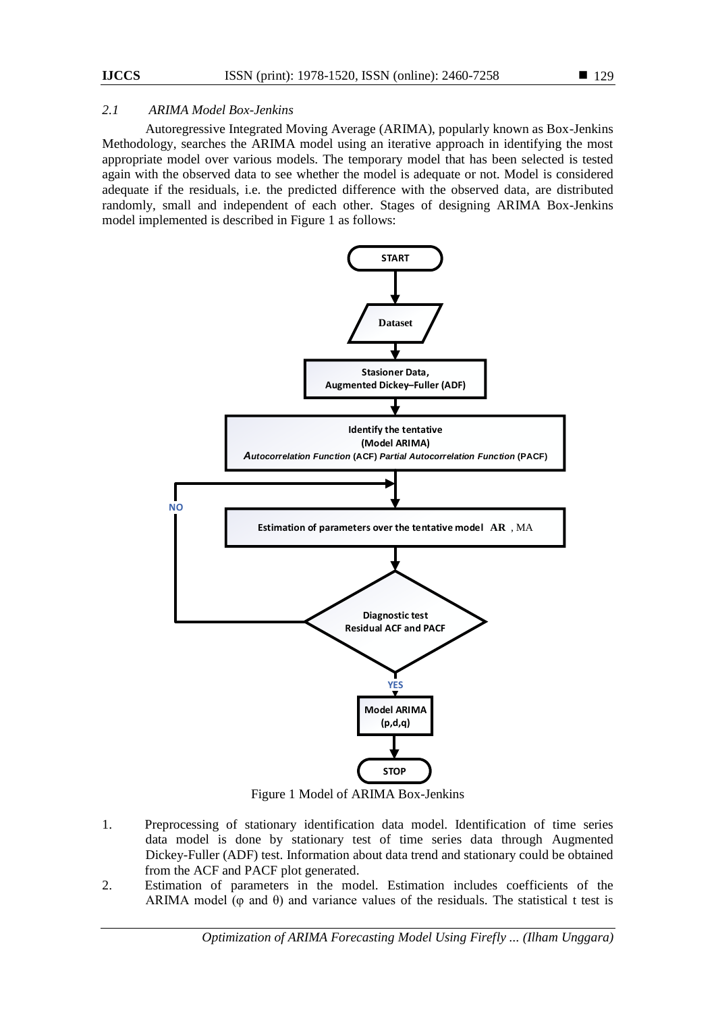## *2.1 ARIMA Model Box-Jenkins*

Autoregressive Integrated Moving Average (ARIMA), popularly known as Box-Jenkins Methodology, searches the ARIMA model using an iterative approach in identifying the most appropriate model over various models. The temporary model that has been selected is tested again with the observed data to see whether the model is adequate or not. Model is considered adequate if the residuals, i.e. the predicted difference with the observed data, are distributed randomly, small and independent of each other. Stages of designing ARIMA Box-Jenkins model implemented is described in Figure 1 as follows:



Figure 1 Model of ARIMA Box-Jenkins

- 1. Preprocessing of stationary identification data model. Identification of time series data model is done by stationary test of time series data through Augmented Dickey-Fuller (ADF) test. Information about data trend and stationary could be obtained from the ACF and PACF plot generated.
- 2. Estimation of parameters in the model. Estimation includes coefficients of the ARIMA model ( $\varphi$  and  $\theta$ ) and variance values of the residuals. The statistical t test is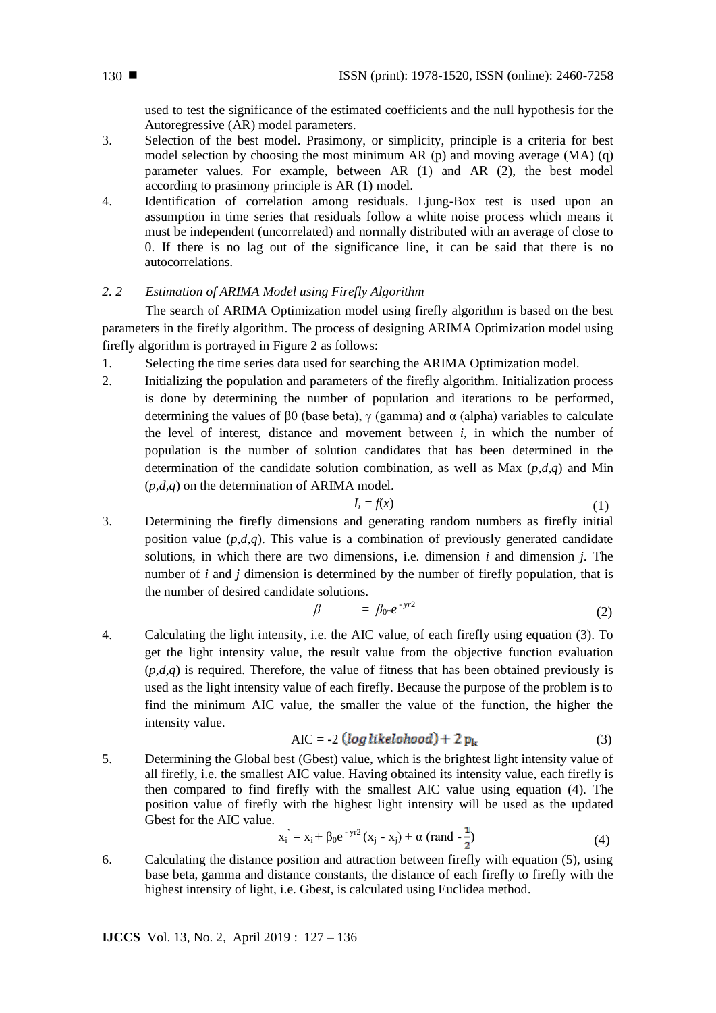used to test the significance of the estimated coefficients and the null hypothesis for the Autoregressive (AR) model parameters.

- 3. Selection of the best model. Prasimony, or simplicity, principle is a criteria for best model selection by choosing the most minimum AR  $(p)$  and moving average  $(MA)$   $(q)$ parameter values. For example, between AR (1) and AR (2), the best model according to prasimony principle is AR (1) model.
- 4. Identification of correlation among residuals. Ljung-Box test is used upon an assumption in time series that residuals follow a white noise process which means it must be independent (uncorrelated) and normally distributed with an average of close to 0. If there is no lag out of the significance line, it can be said that there is no autocorrelations.

# *2. 2 Estimation of ARIMA Model using Firefly Algorithm*

The search of ARIMA Optimization model using firefly algorithm is based on the best parameters in the firefly algorithm. The process of designing ARIMA Optimization model using firefly algorithm is portrayed in Figure 2 as follows:

- 1. Selecting the time series data used for searching the ARIMA Optimization model.
- 2. Initializing the population and parameters of the firefly algorithm. Initialization process is done by determining the number of population and iterations to be performed, determining the values of β0 (base beta), γ (gamma) and α (alpha) variables to calculate the level of interest, distance and movement between *i,* in which the number of population is the number of solution candidates that has been determined in the determination of the candidate solution combination, as well as Max (*p,d,q*) and Min (*p,d,q*) on the determination of ARIMA model.

$$
I_i = f(x) \tag{1}
$$

3. Determining the firefly dimensions and generating random numbers as firefly initial position value  $(p,d,q)$ . This value is a combination of previously generated candidate solutions, in which there are two dimensions, i.e. dimension *i* and dimension *j*. The number of *i* and *j* dimension is determined by the number of firefly population, that is the number of desired candidate solutions.

$$
\beta = \beta_{0*}e^{-y/2} \tag{2}
$$

4. Calculating the light intensity, i.e. the AIC value, of each firefly using equation (3). To get the light intensity value, the result value from the objective function evaluation (*p,d,q*) is required. Therefore, the value of fitness that has been obtained previously is used as the light intensity value of each firefly. Because the purpose of the problem is to find the minimum AIC value, the smaller the value of the function, the higher the intensity value.

$$
AIC = -2 (log likelihood) + 2 p_k
$$
 (3)

5. Determining the Global best (Gbest) value, which is the brightest light intensity value of all firefly, i.e. the smallest AIC value. Having obtained its intensity value, each firefly is then compared to find firefly with the smallest AIC value using equation (4). The position value of firefly with the highest light intensity will be used as the updated Gbest for the AIC value.

$$
x_i = x_i + \beta_0 e^{-y_i/2} (x_j - x_j) + \alpha (rand - \frac{1}{2})
$$
 (4)

6. Calculating the distance position and attraction between firefly with equation (5), using base beta, gamma and distance constants, the distance of each firefly to firefly with the highest intensity of light, i.e. Gbest, is calculated using Euclidea method.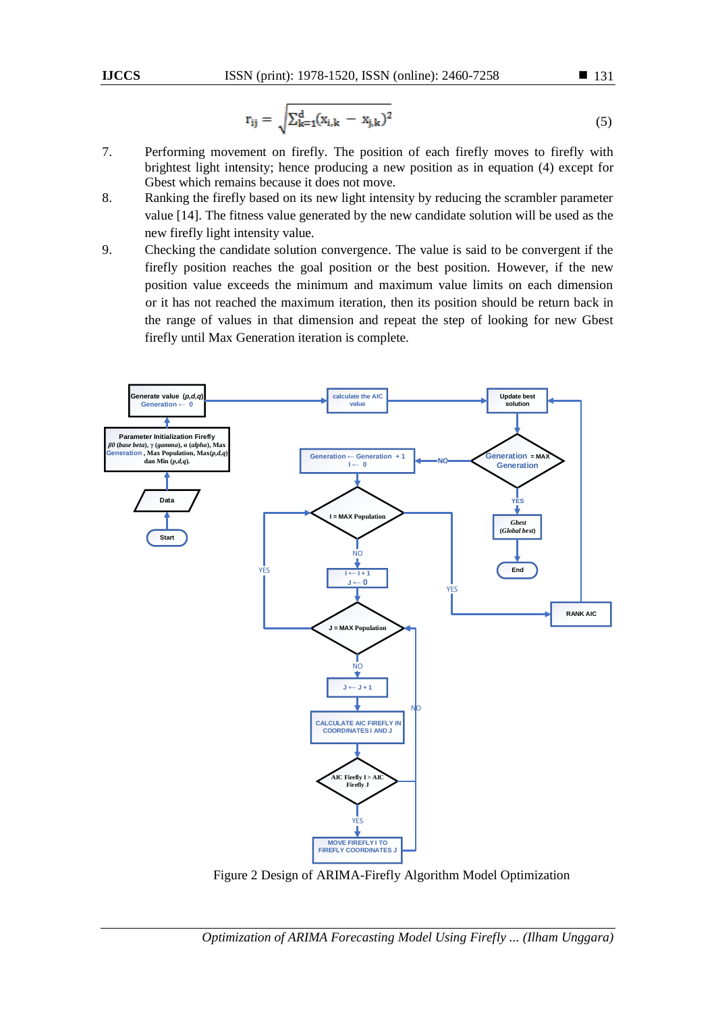$$
r_{ij} = \sqrt{\sum_{k=1}^{d} (x_{i,k} - x_{j,k})^2}
$$
 (5)

- 7. Performing movement on firefly. The position of each firefly moves to firefly with brightest light intensity; hence producing a new position as in equation (4) except for Gbest which remains because it does not move.
- 8. Ranking the firefly based on its new light intensity by reducing the scrambler parameter value [14]. The fitness value generated by the new candidate solution will be used as the new firefly light intensity value.
- 9. Checking the candidate solution convergence. The value is said to be convergent if the firefly position reaches the goal position or the best position. However, if the new position value exceeds the minimum and maximum value limits on each dimension or it has not reached the maximum iteration, then its position should be return back in the range of values in that dimension and repeat the step of looking for new Gbest firefly until Max Generation iteration is complete.



Figure 2 Design of ARIMA-Firefly Algorithm Model Optimization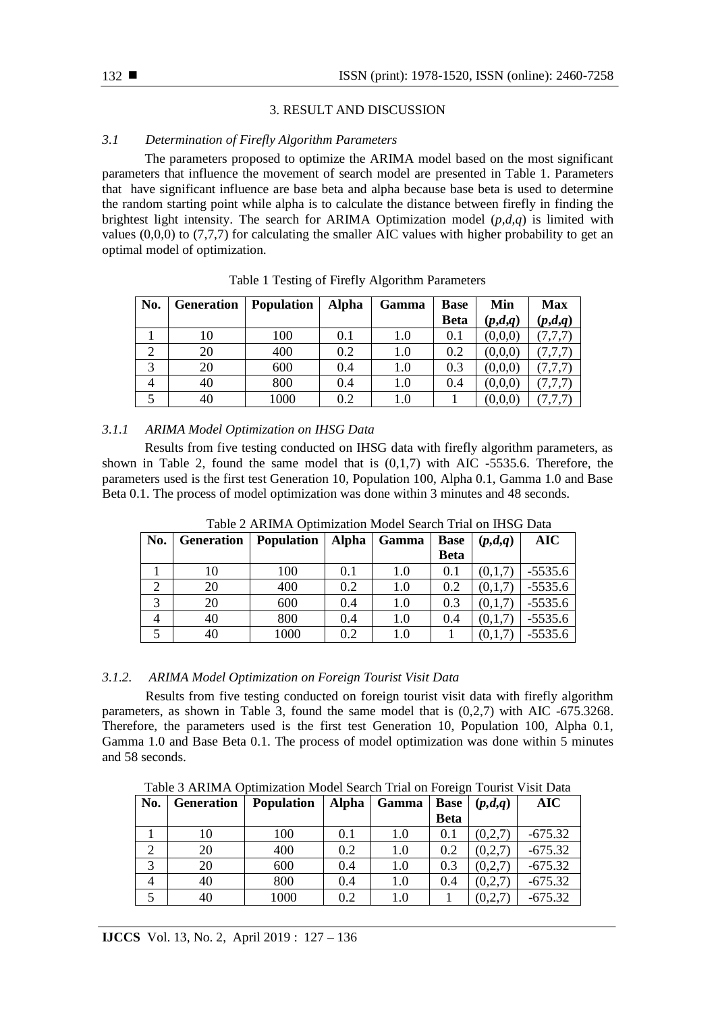## 3. RESULT AND DISCUSSION

# *3.1 Determination of Firefly Algorithm Parameters*

The parameters proposed to optimize the ARIMA model based on the most significant parameters that influence the movement of search model are presented in Table 1. Parameters that have significant influence are base beta and alpha because base beta is used to determine the random starting point while alpha is to calculate the distance between firefly in finding the brightest light intensity. The search for ARIMA Optimization model (*p,d,q*) is limited with values  $(0,0,0)$  to  $(7,7,7)$  for calculating the smaller AIC values with higher probability to get an optimal model of optimization.

| No. | <b>Generation</b> | <b>Population</b> | <b>Alpha</b> | Gamma   | <b>Base</b> | Min     | <b>Max</b> |
|-----|-------------------|-------------------|--------------|---------|-------------|---------|------------|
|     |                   |                   |              |         | <b>Beta</b> | (p,d,q) | (p,d,q)    |
|     | 10                | 100               | 0.1          | 1.0     | 0.1         | (0,0,0) |            |
| 2   | 20                | 400               | 0.2          | $1.0\,$ | 0.2         | (0,0,0) |            |
| 3   | 20                | 600               | 0.4          | 1.0     | 0.3         | (0,0,0) |            |
| 4   | 40                | 800               | 0.4          | 1.0     | 0.4         | (0,0,0) |            |
|     | 40                | 1000              | 0.2          | 1.0     |             | (0,0,0) |            |

Table 1 Testing of Firefly Algorithm Parameters

# *3.1.1 ARIMA Model Optimization on IHSG Data*

Results from five testing conducted on IHSG data with firefly algorithm parameters, as shown in Table 2, found the same model that is (0,1,7) with AIC -5535.6. Therefore, the parameters used is the first test Generation 10, Population 100, Alpha 0.1, Gamma 1.0 and Base Beta 0.1. The process of model optimization was done within 3 minutes and 48 seconds.

| No. | Generation | <b>Population</b> | <b>Alpha</b> | Gamma | <b>Base</b> | (p,d,q) | <b>AIC</b> |
|-----|------------|-------------------|--------------|-------|-------------|---------|------------|
|     |            |                   |              |       | <b>Beta</b> |         |            |
|     | 10         | 100               | 0.1          | 1.0   | 0.1         | (0,1,7) | $-5535.6$  |
|     | 20         | 400               | 0.2          | 1.0   | 0.2         | (0,1,7) | $-5535.6$  |
|     | 20         | 600               | 0.4          | 1.0   | 0.3         | (0,1,7) | $-5535.6$  |
|     | 40         | 800               | 0.4          | 1.0   | 0.4         | (0,1,7) | $-5535.6$  |
|     | 40         | 1000              | 0.2          | 1.0   |             |         | $-5535.6$  |

Table 2 ARIMA Optimization Model Search Trial on IHSG Data

# *3.1.2. ARIMA Model Optimization on Foreign Tourist Visit Data*

Results from five testing conducted on foreign tourist visit data with firefly algorithm parameters, as shown in Table 3, found the same model that is (0,2,7) with AIC -675.3268. Therefore, the parameters used is the first test Generation 10, Population 100, Alpha 0.1, Gamma 1.0 and Base Beta 0.1. The process of model optimization was done within 5 minutes and 58 seconds.

**No. Generation Population Alpha Gamma Base Beta**  $(p,d,q)$  **AIC**  $1 \mid 10 \mid 100 \mid 0.1 \mid 1.0 \mid 0.1 \mid (0,2,7) \mid -675.32$ 2 20 400  $0.2$  1.0  $0.2$   $0.2$   $0.3$  75.32 3 20 600 0.4 1.0 0.3  $(0,2,7)$  -675.32 4 4 40 800 0.4 1.0 0.4  $(0,2,7)$  -675.32 5 40 1000 0.2 1.0 1  $(0,2,7)$  -675.32

Table 3 ARIMA Optimization Model Search Trial on Foreign Tourist Visit Data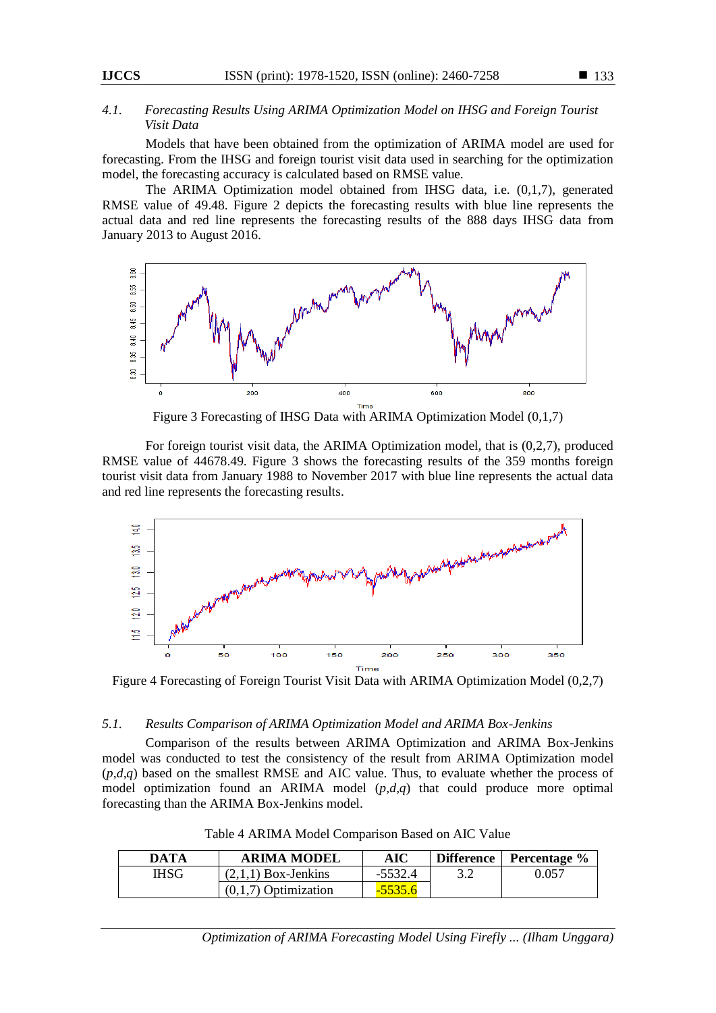## *4.1. Forecasting Results Using ARIMA Optimization Model on IHSG and Foreign Tourist Visit Data*

Models that have been obtained from the optimization of ARIMA model are used for forecasting. From the IHSG and foreign tourist visit data used in searching for the optimization model, the forecasting accuracy is calculated based on RMSE value.

The ARIMA Optimization model obtained from IHSG data, i.e. (0,1,7), generated RMSE value of 49.48. Figure 2 depicts the forecasting results with blue line represents the actual data and red line represents the forecasting results of the 888 days IHSG data from January 2013 to August 2016.



Figure 3 Forecasting of IHSG Data with ARIMA Optimization Model (0,1,7)

For foreign tourist visit data, the ARIMA Optimization model, that is (0,2,7), produced RMSE value of 44678.49. Figure 3 shows the forecasting results of the 359 months foreign tourist visit data from January 1988 to November 2017 with blue line represents the actual data and red line represents the forecasting results.



Figure 4 Forecasting of Foreign Tourist Visit Data with ARIMA Optimization Model (0,2,7)

#### *5.1. Results Comparison of ARIMA Optimization Model and ARIMA Box-Jenkins*

Comparison of the results between ARIMA Optimization and ARIMA Box-Jenkins model was conducted to test the consistency of the result from ARIMA Optimization model (*p,d,q*) based on the smallest RMSE and AIC value. Thus, to evaluate whether the process of model optimization found an ARIMA model (*p,d,q*) that could produce more optimal forecasting than the ARIMA Box-Jenkins model.

| <b>DATA</b> | <b>ARIMA MODEL</b>     | AIC     | Difference Percentage % |
|-------------|------------------------|---------|-------------------------|
| IHSG        | $(2.1.1)$ Box-Jenkins  | -5532.4 | 0.057                   |
|             | $(0,1,7)$ Optimization |         |                         |

Table 4 ARIMA Model Comparison Based on AIC Value

*Optimization of ARIMA Forecasting Model Using Firefly ... (Ilham Unggara)*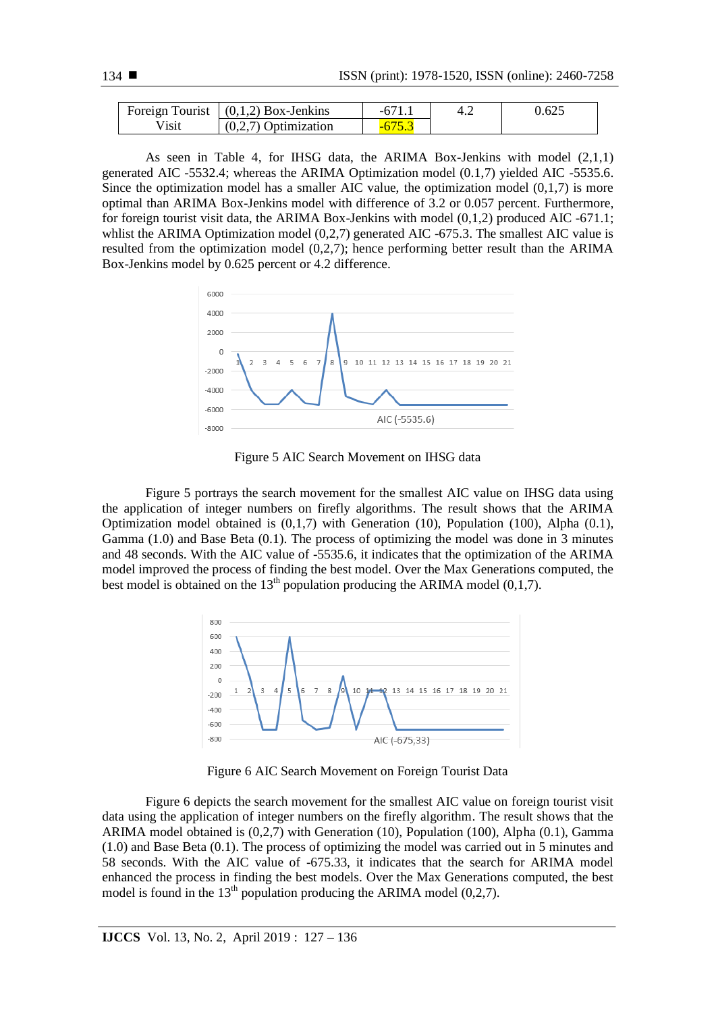|       | Foreign Tourist $(0,1,2)$ Box-Jenkins | -671 | ).625 |
|-------|---------------------------------------|------|-------|
| Visit | $(0,2,7)$ Optimization                |      |       |

As seen in Table 4, for IHSG data, the ARIMA Box-Jenkins with model (2,1,1) generated AIC -5532.4; whereas the ARIMA Optimization model (0.1,7) yielded AIC -5535.6. Since the optimization model has a smaller AIC value, the optimization model  $(0,1,7)$  is more optimal than ARIMA Box-Jenkins model with difference of 3.2 or 0.057 percent. Furthermore, for foreign tourist visit data, the ARIMA Box-Jenkins with model  $(0,1,2)$  produced AIC -671.1; whlist the ARIMA Optimization model (0,2,7) generated AIC -675.3. The smallest AIC value is resulted from the optimization model (0,2,7); hence performing better result than the ARIMA Box-Jenkins model by 0.625 percent or 4.2 difference.



Figure 5 AIC Search Movement on IHSG data

Figure 5 portrays the search movement for the smallest AIC value on IHSG data using the application of integer numbers on firefly algorithms. The result shows that the ARIMA Optimization model obtained is  $(0,1,7)$  with Generation  $(10)$ , Population  $(100)$ , Alpha  $(0.1)$ , Gamma (1.0) and Base Beta (0.1). The process of optimizing the model was done in 3 minutes and 48 seconds. With the AIC value of -5535.6, it indicates that the optimization of the ARIMA model improved the process of finding the best model. Over the Max Generations computed, the best model is obtained on the 13<sup>th</sup> population producing the ARIMA model (0,1,7).



Figure 6 AIC Search Movement on Foreign Tourist Data

Figure 6 depicts the search movement for the smallest AIC value on foreign tourist visit data using the application of integer numbers on the firefly algorithm. The result shows that the ARIMA model obtained is (0,2,7) with Generation (10), Population (100), Alpha (0.1), Gamma (1.0) and Base Beta (0.1). The process of optimizing the model was carried out in 5 minutes and 58 seconds. With the AIC value of -675.33, it indicates that the search for ARIMA model enhanced the process in finding the best models. Over the Max Generations computed, the best model is found in the  $13<sup>th</sup>$  population producing the ARIMA model (0,2,7).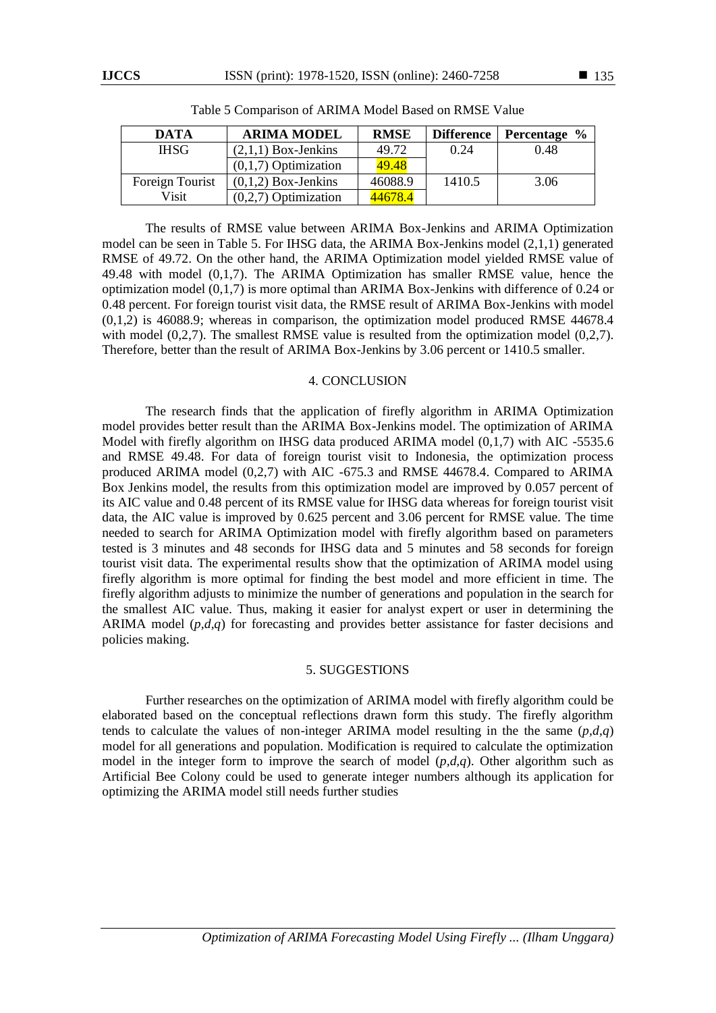| <b>DATA</b>     | <b>ARIMA MODEL</b>     | <b>RMSE</b> | <b>Difference</b> | Percentage % |
|-----------------|------------------------|-------------|-------------------|--------------|
| <b>IHSG</b>     | $(2,1,1)$ Box-Jenkins  | 49.72       | 0.24              | 0.48         |
|                 | $(0,1,7)$ Optimization | 49.48       |                   |              |
| Foreign Tourist | $(0,1,2)$ Box-Jenkins  | 46088.9     | 1410.5            | 3.06         |
| Visit           | $(0,2,7)$ Optimization | 44678.4     |                   |              |

Table 5 Comparison of ARIMA Model Based on RMSE Value

The results of RMSE value between ARIMA Box-Jenkins and ARIMA Optimization model can be seen in Table 5. For IHSG data, the ARIMA Box-Jenkins model (2,1,1) generated RMSE of 49.72. On the other hand, the ARIMA Optimization model yielded RMSE value of 49.48 with model (0,1,7). The ARIMA Optimization has smaller RMSE value, hence the optimization model (0,1,7) is more optimal than ARIMA Box-Jenkins with difference of 0.24 or 0.48 percent. For foreign tourist visit data, the RMSE result of ARIMA Box-Jenkins with model (0,1,2) is 46088.9; whereas in comparison, the optimization model produced RMSE 44678.4 with model (0,2,7). The smallest RMSE value is resulted from the optimization model (0,2,7). Therefore, better than the result of ARIMA Box-Jenkins by 3.06 percent or 1410.5 smaller.

#### 4. CONCLUSION

The research finds that the application of firefly algorithm in ARIMA Optimization model provides better result than the ARIMA Box-Jenkins model. The optimization of ARIMA Model with firefly algorithm on IHSG data produced ARIMA model (0,1,7) with AIC -5535.6 and RMSE 49.48. For data of foreign tourist visit to Indonesia, the optimization process produced ARIMA model (0,2,7) with AIC -675.3 and RMSE 44678.4. Compared to ARIMA Box Jenkins model, the results from this optimization model are improved by 0.057 percent of its AIC value and 0.48 percent of its RMSE value for IHSG data whereas for foreign tourist visit data, the AIC value is improved by 0.625 percent and 3.06 percent for RMSE value. The time needed to search for ARIMA Optimization model with firefly algorithm based on parameters tested is 3 minutes and 48 seconds for IHSG data and 5 minutes and 58 seconds for foreign tourist visit data. The experimental results show that the optimization of ARIMA model using firefly algorithm is more optimal for finding the best model and more efficient in time. The firefly algorithm adjusts to minimize the number of generations and population in the search for the smallest AIC value. Thus, making it easier for analyst expert or user in determining the ARIMA model (*p,d,q*) for forecasting and provides better assistance for faster decisions and policies making.

## 5. SUGGESTIONS

Further researches on the optimization of ARIMA model with firefly algorithm could be elaborated based on the conceptual reflections drawn form this study. The firefly algorithm tends to calculate the values of non-integer ARIMA model resulting in the the same (*p,d,q*) model for all generations and population. Modification is required to calculate the optimization model in the integer form to improve the search of model  $(p,d,q)$ . Other algorithm such as Artificial Bee Colony could be used to generate integer numbers although its application for optimizing the ARIMA model still needs further studies